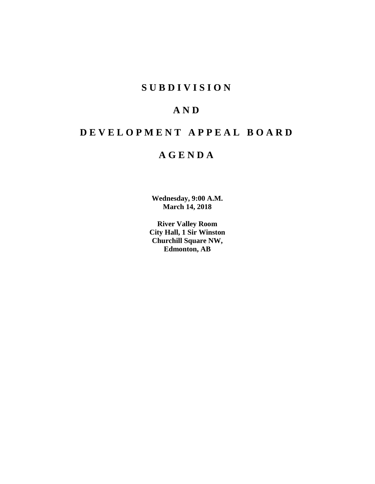## **S U B D I V I S I O N**

# **A N D**

# **D E V E L O P M E N T A P P E A L B O A R D**

## **A G E N D A**

**Wednesday, 9:00 A.M. March 14, 2018**

**River Valley Room City Hall, 1 Sir Winston Churchill Square NW, Edmonton, AB**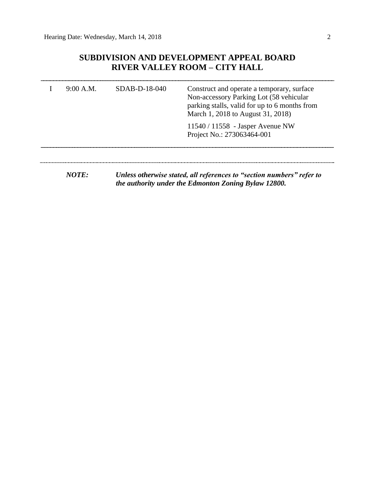## **SUBDIVISION AND DEVELOPMENT APPEAL BOARD RIVER VALLEY ROOM – CITY HALL**

| 9:00 A.M. | $SDAB-D-18-040$ | Construct and operate a temporary, surface<br>Non-accessory Parking Lot (58 vehicular<br>parking stalls, valid for up to 6 months from<br>March 1, 2018 to August 31, 2018) |  |  |
|-----------|-----------------|-----------------------------------------------------------------------------------------------------------------------------------------------------------------------------|--|--|
|           |                 | $11540 / 11558$ - Jasper Avenue NW<br>Project No.: 273063464-001                                                                                                            |  |  |
| NOTF:     |                 | Unless otherwise stated, all references to "section numbers" refer to<br>the authority under the Edmonton Zoning Bylaw 12800.                                               |  |  |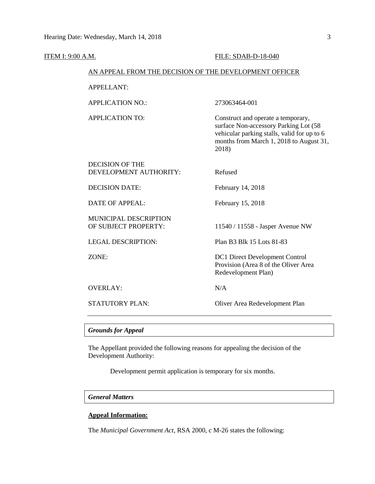| ITEM I: 9:00 A.M. |                                                        | FILE: SDAB-D-18-040                                                                                                                                                            |  |  |  |
|-------------------|--------------------------------------------------------|--------------------------------------------------------------------------------------------------------------------------------------------------------------------------------|--|--|--|
|                   | AN APPEAL FROM THE DECISION OF THE DEVELOPMENT OFFICER |                                                                                                                                                                                |  |  |  |
|                   | <b>APPELLANT:</b>                                      |                                                                                                                                                                                |  |  |  |
|                   | <b>APPLICATION NO.:</b>                                | 273063464-001                                                                                                                                                                  |  |  |  |
|                   | <b>APPLICATION TO:</b>                                 | Construct and operate a temporary,<br>surface Non-accessory Parking Lot (58<br>vehicular parking stalls, valid for up to 6<br>months from March 1, 2018 to August 31,<br>2018) |  |  |  |
|                   | <b>DECISION OF THE</b><br>DEVELOPMENT AUTHORITY:       | Refused                                                                                                                                                                        |  |  |  |
|                   | <b>DECISION DATE:</b>                                  | February 14, 2018                                                                                                                                                              |  |  |  |
|                   | <b>DATE OF APPEAL:</b>                                 | February 15, 2018                                                                                                                                                              |  |  |  |
|                   | MUNICIPAL DESCRIPTION<br>OF SUBJECT PROPERTY:          | 11540 / 11558 - Jasper Avenue NW                                                                                                                                               |  |  |  |
|                   | <b>LEGAL DESCRIPTION:</b>                              | Plan B3 Blk 15 Lots 81-83                                                                                                                                                      |  |  |  |
|                   | ZONE:                                                  | DC1 Direct Development Control<br>Provision (Area 8 of the Oliver Area<br>Redevelopment Plan)                                                                                  |  |  |  |
|                   | <b>OVERLAY:</b>                                        | N/A                                                                                                                                                                            |  |  |  |
|                   | <b>STATUTORY PLAN:</b>                                 | Oliver Area Redevelopment Plan                                                                                                                                                 |  |  |  |
|                   |                                                        |                                                                                                                                                                                |  |  |  |

## *Grounds for Appeal*

The Appellant provided the following reasons for appealing the decision of the Development Authority:

Development permit application is temporary for six months.

## *General Matters*

## **Appeal Information:**

The *Municipal Government Act*, RSA 2000, c M-26 states the following: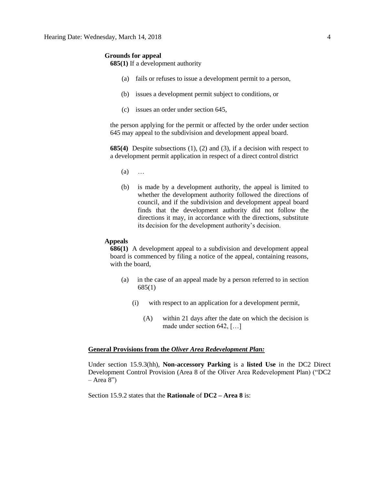#### **Grounds for appeal**

**685(1)** If a development authority

- (a) fails or refuses to issue a development permit to a person,
- (b) issues a development permit subject to conditions, or
- (c) issues an order under section 645,

the person applying for the permit or affected by the order under section 645 may appeal to the subdivision and development appeal board.

**685(4)** Despite subsections (1), (2) and (3), if a decision with respect to a development permit application in respect of a direct control district

- (a) …
- (b) is made by a development authority, the appeal is limited to whether the development authority followed the directions of council, and if the subdivision and development appeal board finds that the development authority did not follow the directions it may, in accordance with the directions, substitute its decision for the development authority's decision.

### **Appeals**

**686(1)** A development appeal to a subdivision and development appeal board is commenced by filing a notice of the appeal, containing reasons, with the board,

- (a) in the case of an appeal made by a person referred to in section 685(1)
	- (i) with respect to an application for a development permit,
		- (A) within 21 days after the date on which the decision is made under section 642, […]

## **General Provisions from the** *Oliver Area Redevelopment Plan:*

Under section 15.9.3(hh), **Non-accessory Parking** is a **listed Use** in the DC2 Direct Development Control Provision (Area 8 of the Oliver Area Redevelopment Plan) ("DC2  $-$  Area 8")

Section 15.9.2 states that the **Rationale** of **DC2 – Area 8** is: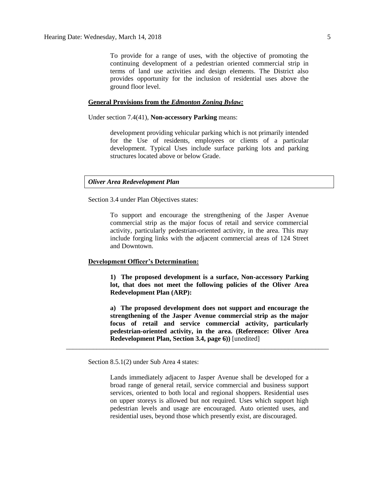To provide for a range of uses, with the objective of promoting the continuing development of a pedestrian oriented commercial strip in terms of land use activities and design elements. The District also provides opportunity for the inclusion of residential uses above the ground floor level.

## **General Provisions from the** *Edmonton Zoning Bylaw:*

Under section 7.4(41), **Non-accessory Parking** means:

development providing vehicular parking which is not primarily intended for the Use of residents, employees or clients of a particular development. Typical Uses include surface parking lots and parking structures located above or below Grade.

#### *Oliver Area Redevelopment Plan*

Section 3.4 under Plan Objectives states:

To support and encourage the strengthening of the Jasper Avenue commercial strip as the major focus of retail and service commercial activity, particularly pedestrian-oriented activity, in the area. This may include forging links with the adjacent commercial areas of 124 Street and Downtown.

## **Development Officer's Determination:**

**1) The proposed development is a surface, Non-accessory Parking lot, that does not meet the following policies of the Oliver Area Redevelopment Plan (ARP):**

**a) The proposed development does not support and encourage the strengthening of the Jasper Avenue commercial strip as the major focus of retail and service commercial activity, particularly pedestrian-oriented activity, in the area. (Reference: Oliver Area Redevelopment Plan, Section 3.4, page 6))** [unedited]

\_\_\_\_\_\_\_\_\_\_\_\_\_\_\_\_\_\_\_\_\_\_\_\_\_\_\_\_\_\_\_\_\_\_\_\_\_\_\_\_\_\_\_\_\_\_\_\_\_\_\_\_\_\_\_\_\_\_\_\_\_\_\_\_\_\_\_\_\_\_\_\_\_\_\_\_\_\_

Section 8.5.1(2) under Sub Area 4 states:

Lands immediately adjacent to Jasper Avenue shall be developed for a broad range of general retail, service commercial and business support services, oriented to both local and regional shoppers. Residential uses on upper storeys is allowed but not required. Uses which support high pedestrian levels and usage are encouraged. Auto oriented uses, and residential uses, beyond those which presently exist, are discouraged.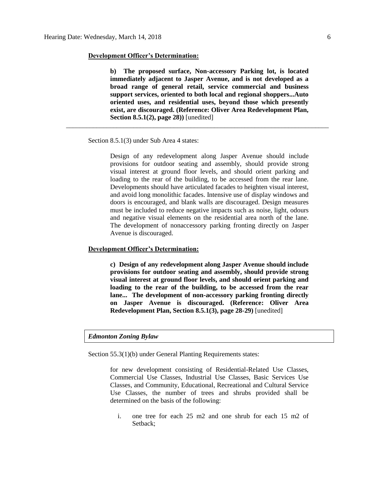**b) The proposed surface, Non-accessory Parking lot, is located immediately adjacent to Jasper Avenue, and is not developed as a broad range of general retail, service commercial and business support services, oriented to both local and regional shoppers...Auto oriented uses, and residential uses, beyond those which presently exist, are discouraged. (Reference: Oliver Area Redevelopment Plan, Section 8.5.1(2), page 28))** [unedited]

\_\_\_\_\_\_\_\_\_\_\_\_\_\_\_\_\_\_\_\_\_\_\_\_\_\_\_\_\_\_\_\_\_\_\_\_\_\_\_\_\_\_\_\_\_\_\_\_\_\_\_\_\_\_\_\_\_\_\_\_\_\_\_\_\_\_\_\_\_\_\_\_\_\_\_\_\_\_

Section 8.5.1(3) under Sub Area 4 states:

Design of any redevelopment along Jasper Avenue should include provisions for outdoor seating and assembly, should provide strong visual interest at ground floor levels, and should orient parking and loading to the rear of the building, to be accessed from the rear lane. Developments should have articulated facades to heighten visual interest, and avoid long monolithic facades. Intensive use of display windows and doors is encouraged, and blank walls are discouraged. Design measures must be included to reduce negative impacts such as noise, light, odours and negative visual elements on the residential area north of the lane. The development of nonaccessory parking fronting directly on Jasper Avenue is discouraged.

## **Development Officer's Determination:**

**c) Design of any redevelopment along Jasper Avenue should include provisions for outdoor seating and assembly, should provide strong visual interest at ground floor levels, and should orient parking and loading to the rear of the building, to be accessed from the rear lane... The development of non-accessory parking fronting directly on Jasper Avenue is discouraged. (Reference: Oliver Area Redevelopment Plan, Section 8.5.1(3), page 28-29)** [unedited]

## *Edmonton Zoning Bylaw*

Section 55.3(1)(b) under General Planting Requirements states:

for new development consisting of Residential-Related Use Classes, Commercial Use Classes, Industrial Use Classes, Basic Services Use Classes, and Community, Educational, Recreational and Cultural Service Use Classes, the number of trees and shrubs provided shall be determined on the basis of the following:

i. one tree for each 25 m2 and one shrub for each 15 m2 of Setback;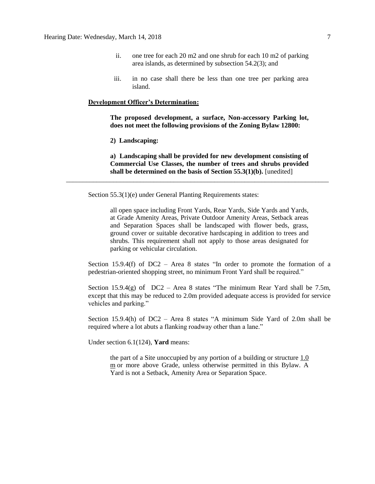- ii. one tree for each 20 m2 and one shrub for each 10 m2 of parking area islands, as determined by subsection 54.2(3); and
- iii. in no case shall there be less than one tree per parking area island.

**The proposed development, a surface, Non-accessory Parking lot, does not meet the following provisions of the Zoning Bylaw 12800:**

**2) Landscaping:**

**a) Landscaping shall be provided for new development consisting of Commercial Use Classes, the number of trees and shrubs provided shall be determined on the basis of Section 55.3(1)(b).** [unedited]

\_\_\_\_\_\_\_\_\_\_\_\_\_\_\_\_\_\_\_\_\_\_\_\_\_\_\_\_\_\_\_\_\_\_\_\_\_\_\_\_\_\_\_\_\_\_\_\_\_\_\_\_\_\_\_\_\_\_\_\_\_\_\_\_\_\_\_\_\_\_\_\_\_\_\_\_\_\_

Section 55.3(1)(e) under General Planting Requirements states:

all open space including Front Yards, Rear Yards, Side Yards and Yards, at Grade Amenity Areas, Private Outdoor Amenity Areas, Setback areas and Separation Spaces shall be landscaped with flower beds, grass, ground cover or suitable decorative hardscaping in addition to trees and shrubs. This requirement shall not apply to those areas designated for parking or vehicular circulation.

Section 15.9.4(f) of  $DC2 - Area 8$  states "In order to promote the formation of a pedestrian-oriented shopping street, no minimum Front Yard shall be required."

Section 15.9.4(g) of  $DC2 - Area 8$  states "The minimum Rear Yard shall be 7.5m, except that this may be reduced to 2.0m provided adequate access is provided for service vehicles and parking."

Section 15.9.4(h) of DC2 – Area 8 states "A minimum Side Yard of 2.0m shall be required where a lot abuts a flanking roadway other than a lane."

Under section 6.1(124), **Yard** means:

the part of a Site unoccupied by any portion of a building or structure [1.0](javascript:void(0);)  [m](javascript:void(0);) or more above Grade, unless otherwise permitted in this Bylaw. A Yard is not a Setback, Amenity Area or Separation Space.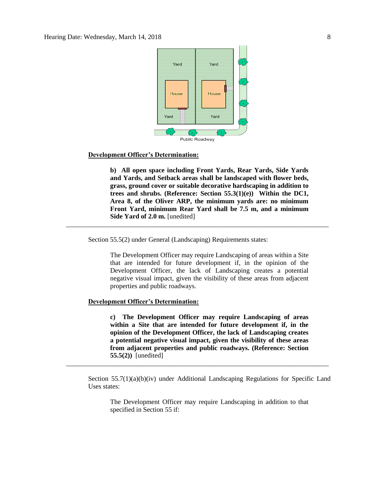

**b) All open space including Front Yards, Rear Yards, Side Yards and Yards, and Setback areas shall be landscaped with flower beds, grass, ground cover or suitable decorative hardscaping in addition to trees and shrubs. (Reference: Section 55.3(1)(e)) Within the DC1, Area 8, of the Oliver ARP, the minimum yards are: no minimum Front Yard, minimum Rear Yard shall be 7.5 m, and a minimum Side Yard of 2.0 m.** [unedited]

\_\_\_\_\_\_\_\_\_\_\_\_\_\_\_\_\_\_\_\_\_\_\_\_\_\_\_\_\_\_\_\_\_\_\_\_\_\_\_\_\_\_\_\_\_\_\_\_\_\_\_\_\_\_\_\_\_\_\_\_\_\_\_\_\_\_\_\_\_\_\_\_\_\_\_\_\_\_

Section 55.5(2) under General (Landscaping) Requirements states:

The Development Officer may require Landscaping of areas within a Site that are intended for future development if, in the opinion of the Development Officer, the lack of Landscaping creates a potential negative visual impact, given the visibility of these areas from adjacent properties and public roadways.

### **Development Officer's Determination:**

**c) The Development Officer may require Landscaping of areas within a Site that are intended for future development if, in the opinion of the Development Officer, the lack of Landscaping creates a potential negative visual impact, given the visibility of these areas from adjacent properties and public roadways. (Reference: Section 55.5(2))** [unedited]

Section 55.7(1)(a)(b)(iv) under Additional Landscaping Regulations for Specific Land Uses states:

\_\_\_\_\_\_\_\_\_\_\_\_\_\_\_\_\_\_\_\_\_\_\_\_\_\_\_\_\_\_\_\_\_\_\_\_\_\_\_\_\_\_\_\_\_\_\_\_\_\_\_\_\_\_\_\_\_\_\_\_\_\_\_\_\_\_\_\_\_\_\_\_\_\_\_\_\_\_

The Development Officer may require Landscaping in addition to that specified in Section 55 if: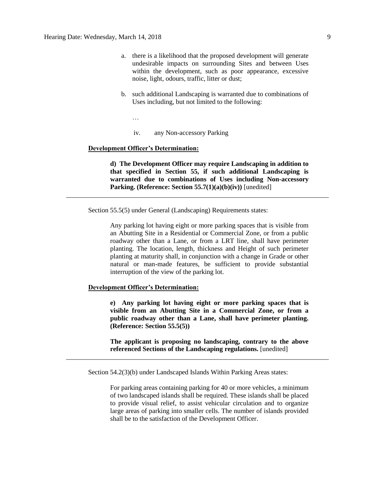- a. there is a likelihood that the proposed development will generate undesirable impacts on surrounding Sites and between Uses within the development, such as poor appearance, excessive noise, light, odours, traffic, litter or dust;
- b. such additional Landscaping is warranted due to combinations of Uses including, but not limited to the following:
	- …
		- iv. any Non-accessory Parking

**d) The Development Officer may require Landscaping in addition to that specified in Section 55, if such additional Landscaping is warranted due to combinations of Uses including Non-accessory Parking. (Reference: Section 55.7(1)(a)(b)(iv))** [unedited]

\_\_\_\_\_\_\_\_\_\_\_\_\_\_\_\_\_\_\_\_\_\_\_\_\_\_\_\_\_\_\_\_\_\_\_\_\_\_\_\_\_\_\_\_\_\_\_\_\_\_\_\_\_\_\_\_\_\_\_\_\_\_\_\_\_\_\_\_\_\_\_\_\_\_\_\_\_\_

Section 55.5(5) under General (Landscaping) Requirements states:

Any parking lot having eight or more parking spaces that is visible from an Abutting Site in a Residential or Commercial Zone, or from a public roadway other than a Lane, or from a LRT line, shall have perimeter planting. The location, length, thickness and Height of such perimeter planting at maturity shall, in conjunction with a change in Grade or other natural or man-made features, be sufficient to provide substantial interruption of the view of the parking lot.

## **Development Officer's Determination:**

**e) Any parking lot having eight or more parking spaces that is visible from an Abutting Site in a Commercial Zone, or from a public roadway other than a Lane, shall have perimeter planting. (Reference: Section 55.5(5))**

**The applicant is proposing no landscaping, contrary to the above referenced Sections of the Landscaping regulations.** [unedited]

Section 54.2(3)(b) under Landscaped Islands Within Parking Areas states:

\_\_\_\_\_\_\_\_\_\_\_\_\_\_\_\_\_\_\_\_\_\_\_\_\_\_\_\_\_\_\_\_\_\_\_\_\_\_\_\_\_\_\_\_\_\_\_\_\_\_\_\_\_\_\_\_\_\_\_\_\_\_\_\_\_\_\_\_\_\_\_\_\_\_\_\_\_\_

For parking areas containing parking for 40 or more vehicles, a minimum of two landscaped islands shall be required. These islands shall be placed to provide visual relief, to assist vehicular circulation and to organize large areas of parking into smaller cells. The number of islands provided shall be to the satisfaction of the Development Officer.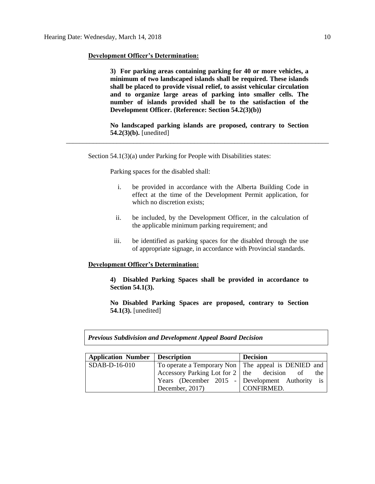**3) For parking areas containing parking for 40 or more vehicles, a minimum of two landscaped islands shall be required. These islands shall be placed to provide visual relief, to assist vehicular circulation and to organize large areas of parking into smaller cells. The number of islands provided shall be to the satisfaction of the Development Officer. (Reference: Section 54.2(3)(b))**

**No landscaped parking islands are proposed, contrary to Section 54.2(3)(b).** [unedited]

\_\_\_\_\_\_\_\_\_\_\_\_\_\_\_\_\_\_\_\_\_\_\_\_\_\_\_\_\_\_\_\_\_\_\_\_\_\_\_\_\_\_\_\_\_\_\_\_\_\_\_\_\_\_\_\_\_\_\_\_\_\_\_\_\_\_\_\_\_\_\_\_\_\_\_\_\_\_

Section 54.1(3)(a) under Parking for People with Disabilities states:

Parking spaces for the disabled shall:

- i. be provided in accordance with the Alberta Building Code in effect at the time of the Development Permit application, for which no discretion exists;
- ii. be included, by the Development Officer, in the calculation of the applicable minimum parking requirement; and
- iii. be identified as parking spaces for the disabled through the use of appropriate signage, in accordance with Provincial standards.

### **Development Officer's Determination:**

**4) Disabled Parking Spaces shall be provided in accordance to Section 54.1(3).**

**No Disabled Parking Spaces are proposed, contrary to Section 54.1(3).** [unedited]

*Previous Subdivision and Development Appeal Board Decision*

| Application Number   Description |                                                       | <b>Decision</b>                                 |  |  |
|----------------------------------|-------------------------------------------------------|-------------------------------------------------|--|--|
| SDAB-D-16-010                    | To operate a Temporary Non   The appeal is DENIED and |                                                 |  |  |
|                                  | Accessory Parking Lot for $2 \mid$ the decision of    | the                                             |  |  |
|                                  |                                                       | Years (December 2015 - Development Authority is |  |  |
|                                  | December, 2017)                                       | CONFIRMED.                                      |  |  |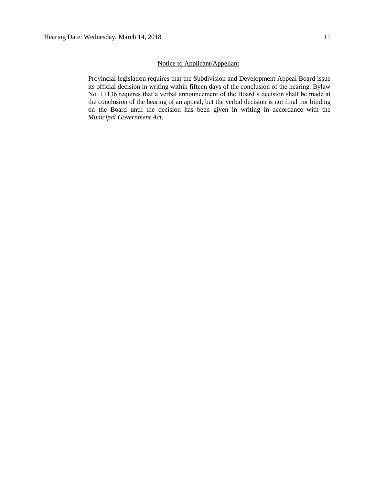## Notice to Applicant/Appellant

Provincial legislation requires that the Subdivision and Development Appeal Board issue its official decision in writing within fifteen days of the conclusion of the hearing. Bylaw No. 11136 requires that a verbal announcement of the Board's decision shall be made at the conclusion of the hearing of an appeal, but the verbal decision is not final nor binding on the Board until the decision has been given in writing in accordance with the *Municipal Government Act*.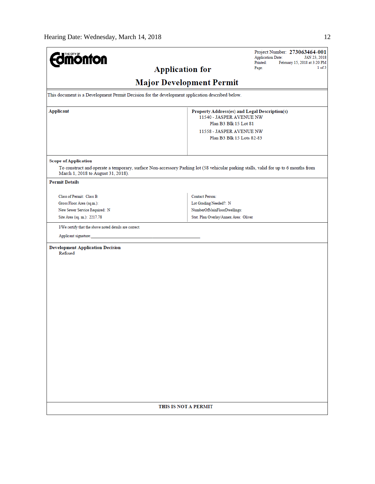| <b>Imónfon</b>                                                                                                                                                                                           | Project Number: 273063464-001<br><b>Application Date:</b><br>JAN 23, 2018<br>Printed:<br>February 15, 2018 at 3:20 PM                                       |  |  |  |  |
|----------------------------------------------------------------------------------------------------------------------------------------------------------------------------------------------------------|-------------------------------------------------------------------------------------------------------------------------------------------------------------|--|--|--|--|
| <b>Application for</b>                                                                                                                                                                                   | 1 of 3<br>Page:                                                                                                                                             |  |  |  |  |
| <b>Major Development Permit</b>                                                                                                                                                                          |                                                                                                                                                             |  |  |  |  |
| This document is a Development Permit Decision for the development application described below.                                                                                                          |                                                                                                                                                             |  |  |  |  |
| <b>Applicant</b>                                                                                                                                                                                         | Property Address(es) and Legal Description(s)<br>11540 - JASPER AVENUE NW<br>Plan B3 Blk 15 Lot 81<br>11558 - JASPER AVENUE NW<br>Plan B3 Blk 15 Lots 82-83 |  |  |  |  |
| <b>Scope of Application</b><br>To construct and operate a temporary, surface Non-accessory Parking lot (58 vehicular parking stalls, valid for up to 6 months from<br>March 1, 2018 to August 31, 2018). |                                                                                                                                                             |  |  |  |  |
| <b>Permit Details</b>                                                                                                                                                                                    |                                                                                                                                                             |  |  |  |  |
| Class of Permit: Class B<br>Gross Floor Area (sq.m.):<br>New Sewer Service Required: N<br>Site Area (sq. m.): 2217.78                                                                                    | Contact Person:<br>Lot Grading Needed?: N<br>NumberOfMainFloorDwellings:<br>Stat. Plan Overlay/Annex Area: Oliver                                           |  |  |  |  |
| I/We certify that the above noted details are correct.                                                                                                                                                   |                                                                                                                                                             |  |  |  |  |
| Applicant signature:                                                                                                                                                                                     |                                                                                                                                                             |  |  |  |  |
| <b>Development Application Decision</b><br>Refused                                                                                                                                                       |                                                                                                                                                             |  |  |  |  |
| THIS IS NOT A PERMIT                                                                                                                                                                                     |                                                                                                                                                             |  |  |  |  |
|                                                                                                                                                                                                          |                                                                                                                                                             |  |  |  |  |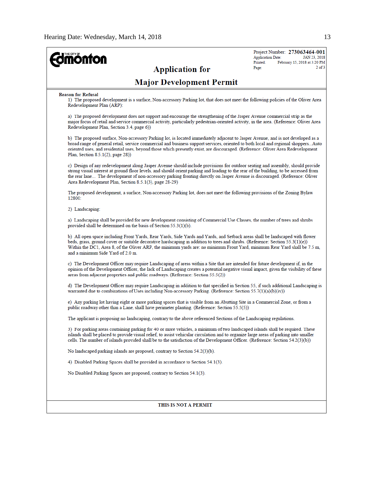| <b>mönton</b>                                                                                                                                                                                                                                                                                                                                                                                                                                                    | Project Number: 273063464-001<br><b>Application Date:</b><br>JAN 23, 2018<br>Printed:<br>February 15, 2018 at 3:20 PM |  |  |  |  |
|------------------------------------------------------------------------------------------------------------------------------------------------------------------------------------------------------------------------------------------------------------------------------------------------------------------------------------------------------------------------------------------------------------------------------------------------------------------|-----------------------------------------------------------------------------------------------------------------------|--|--|--|--|
| <b>Application for</b>                                                                                                                                                                                                                                                                                                                                                                                                                                           | $2$ of $3$<br>Page:                                                                                                   |  |  |  |  |
| <b>Major Development Permit</b>                                                                                                                                                                                                                                                                                                                                                                                                                                  |                                                                                                                       |  |  |  |  |
| <b>Reason for Refusal</b><br>1) The proposed development is a surface, Non-accessory Parking lot, that does not meet the following policies of the Oliver Area<br>Redevelopment Plan (ARP):                                                                                                                                                                                                                                                                      |                                                                                                                       |  |  |  |  |
| a) The proposed development does not support and encourage the strengthening of the Jasper Avenue commercial strip as the<br>major focus of retail and service commercial activity, particularly pedestrian-oriented activity, in the area. (Reference: Oliver Area<br>Redevelopment Plan, Section 3.4, page 6))                                                                                                                                                 |                                                                                                                       |  |  |  |  |
| b) The proposed surface, Non-accessory Parking lot, is located immediately adjacent to Jasper Avenue, and is not developed as a<br>broad range of general retail, service commercial and business support services, oriented to both local and regional shoppersAuto<br>oriented uses, and residential uses, beyond those which presently exist, are discouraged. (Reference: Oliver Area Redevelopment<br>Plan, Section $8.5.1(2)$ , page $28$ )                |                                                                                                                       |  |  |  |  |
| c) Design of any redevelopment along Jasper Avenue should include provisions for outdoor seating and assembly, should provide<br>strong visual interest at ground floor levels, and should orient parking and loading to the rear of the building, to be accessed from<br>the rear lane The development of non-accessory parking fronting directly on Jasper Avenue is discouraged. (Reference: Oliver<br>Area Redevelopment Plan, Section 8.5.1(3), page 28-29) |                                                                                                                       |  |  |  |  |
| The proposed development, a surface, Non-accessory Parking lot, does not meet the following provisions of the Zoning Bylaw<br>12800:                                                                                                                                                                                                                                                                                                                             |                                                                                                                       |  |  |  |  |
| 2) Landscaping:                                                                                                                                                                                                                                                                                                                                                                                                                                                  |                                                                                                                       |  |  |  |  |
| a) Landscaping shall be provided for new development consisting of Commercial Use Classes, the number of trees and shrubs<br>provided shall be determined on the basis of Section 55.3(1)(b).                                                                                                                                                                                                                                                                    |                                                                                                                       |  |  |  |  |
| b) All open space including Front Yards, Rear Yards, Side Yards and Yards, and Setback areas shall be landscaped with flower<br>beds, grass, ground cover or suitable decorative hardscaping in addition to trees and shrubs. (Reference: Section 55.3(1)(e))<br>Within the DC1, Area 8, of the Oliver ARP, the minimum yards are: no minimum Front Yard, minimum Rear Yard shall be 7.5 m,<br>and a minimum Side Yard of 2.0 m.                                 |                                                                                                                       |  |  |  |  |
| c) The Development Officer may require Landscaping of areas within a Site that are intended for future development if, in the<br>opinion of the Development Officer, the lack of Landscaping creates a potential negative visual impact, given the visibility of these<br>areas from adjacent properties and public roadways. (Reference: Section 55.5(2))                                                                                                       |                                                                                                                       |  |  |  |  |
| d) The Development Officer may require Landscaping in addition to that specified in Section 55, if such additional Landscaping is<br>warranted due to combinations of Uses including Non-accessory Parking. (Reference: Section 55.7(1)(a)(b)(iv))                                                                                                                                                                                                               |                                                                                                                       |  |  |  |  |
| e) Any parking lot having eight or more parking spaces that is visible from an Abutting Site in a Commercial Zone, or from a<br>public roadway other than a Lane, shall have perimeter planting. (Reference: Section 55.5(5))                                                                                                                                                                                                                                    |                                                                                                                       |  |  |  |  |
| The applicant is proposing no landscaping, contrary to the above referenced Sections of the Landscaping regulations.                                                                                                                                                                                                                                                                                                                                             |                                                                                                                       |  |  |  |  |
| 3) For parking areas containing parking for 40 or more vehicles, a minimum of two landscaped islands shall be required. These<br>islands shall be placed to provide visual relief, to assist vehicular circulation and to organize large areas of parking into smaller<br>cells. The number of islands provided shall be to the satisfaction of the Development Officer. (Reference: Section 54.2(3)(b))                                                         |                                                                                                                       |  |  |  |  |
| No landscaped parking islands are proposed, contrary to Section 54.2(3)(b).                                                                                                                                                                                                                                                                                                                                                                                      |                                                                                                                       |  |  |  |  |
| 4) Disabled Parking Spaces shall be provided in accordance to Section 54.1(3).                                                                                                                                                                                                                                                                                                                                                                                   |                                                                                                                       |  |  |  |  |
| No Disabled Parking Spaces are proposed, contrary to Section 54.1(3).                                                                                                                                                                                                                                                                                                                                                                                            |                                                                                                                       |  |  |  |  |
| THIS IS NOT A PERMIT                                                                                                                                                                                                                                                                                                                                                                                                                                             |                                                                                                                       |  |  |  |  |
|                                                                                                                                                                                                                                                                                                                                                                                                                                                                  |                                                                                                                       |  |  |  |  |
|                                                                                                                                                                                                                                                                                                                                                                                                                                                                  |                                                                                                                       |  |  |  |  |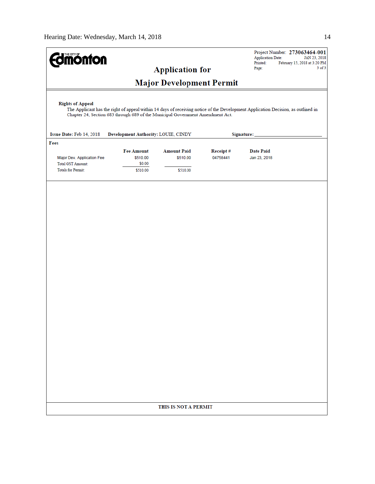| THE CITY OF<br><b>nonton</b> |                                                                                                                                                                                                                    |                        |          | <b>Application Date:</b> | Project Number: 273063464-001<br>JAN 23, 2018 |  |
|------------------------------|--------------------------------------------------------------------------------------------------------------------------------------------------------------------------------------------------------------------|------------------------|----------|--------------------------|-----------------------------------------------|--|
|                              |                                                                                                                                                                                                                    | <b>Application for</b> |          | Printed:<br>Page:        | February 15, 2018 at 3:20 PM<br>$3$ of $3$    |  |
|                              |                                                                                                                                                                                                                    |                        |          |                          |                                               |  |
|                              | <b>Major Development Permit</b>                                                                                                                                                                                    |                        |          |                          |                                               |  |
| <b>Rights of Appeal</b>      | The Applicant has the right of appeal within 14 days of receiving notice of the Development Application Decision, as outlined in<br>Chapter 24, Section 683 through 689 of the Municipal Government Amendment Act. |                        |          |                          |                                               |  |
| Issue Date: Feb 14, 2018     | Development Authority: LOUIE, CINDY                                                                                                                                                                                |                        |          | Signature:               |                                               |  |
| Fees                         |                                                                                                                                                                                                                    |                        |          |                          |                                               |  |
|                              | <b>Fee Amount</b>                                                                                                                                                                                                  | <b>Amount Paid</b>     | Receipt# | <b>Date Paid</b>         |                                               |  |
| Major Dev. Application Fee   | \$510.00                                                                                                                                                                                                           | \$510.00               | 04758441 | Jan 23, 2018             |                                               |  |
| <b>Total GST Amount:</b>     | \$0.00                                                                                                                                                                                                             |                        |          |                          |                                               |  |
| <b>Totals for Permit:</b>    | \$510.00                                                                                                                                                                                                           | \$510.00               |          |                          |                                               |  |
|                              |                                                                                                                                                                                                                    | THIS IS NOT A PERMIT   |          |                          |                                               |  |
|                              |                                                                                                                                                                                                                    |                        |          |                          |                                               |  |
|                              |                                                                                                                                                                                                                    |                        |          |                          |                                               |  |